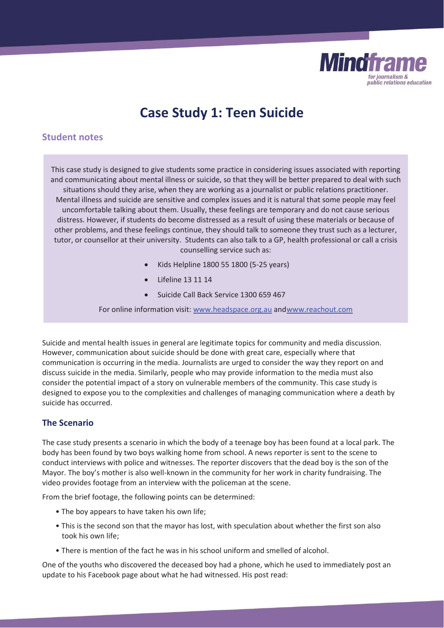

# **Case Study 1: Teen Suicide**

# **Student notes**

This case study is designed to give students some practice in considering issues associated with reporting and communicating about mental illness or suicide, so that they will be better prepared to deal with such situations should they arise, when they are working as a journalist or public relations practitioner. Mental illness and suicide are sensitive and complex issues and it is natural that some people may feel uncomfortable talking about them. Usually, these feelings are temporary and do not cause serious distress. However, if students do become distressed as a result of using these materials or because of other problems, and these feelings continue, they should talk to someone they trust such as a lecturer, tutor, or counsellor at their university. Students can also talk to a GP, health professional or call a crisis counselling service such as:

- x Kids Helpline 1800 55 1800 (5-25 years)
- Lifeline 13 11 14
- Suicide Call Back Service 1300 659 467

For online information visit: www.headspace.org.au and www.reachout.com

Suicide and mental health issues in general are legitimate topics for community and media discussion. However, communication about suicide should be done with great care, especially where that communication is occurring in the media. Journalists are urged to consider the way they report on and discuss suicide in the media. Similarly, people who may provide information to the media must also consider the potential impact of a story on vulnerable members of the community. This case study is designed to expose you to the complexities and challenges of managing communication where a death by suicide has occurred.

# **The Scenario**

The case study presents a scenario in which the body of a teenage boy has been found at a local park. The body has been found by two boys walking home from school. A news reporter is sent to the scene to conduct interviews with police and witnesses. The reporter discovers that the dead boy is the son of the Mayor. The boy's mother is also well-known in the community for her work in charity fundraising. The video provides footage from an interview with the policeman at the scene.

From the brief footage, the following points can be determined:

- The boy appears to have taken his own life;
- This is the second son that the mayor has lost, with speculation about whether the first son also took his own life;
- There is mention of the fact he was in his school uniform and smelled of alcohol.

One of the youths who discovered the deceased boy had a phone, which he used to immediately post an update to his Facebook page about what he had witnessed. His post read: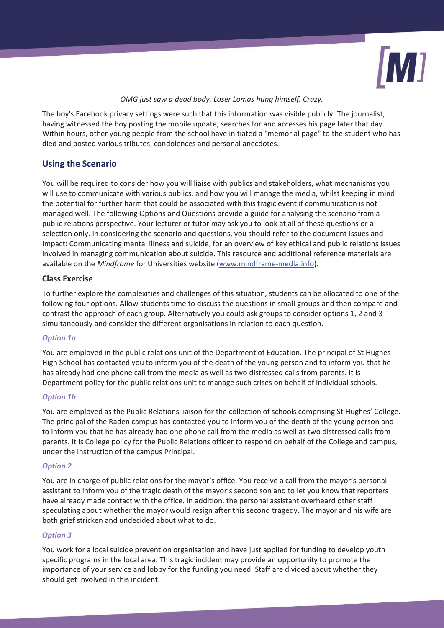

#### *OMG just saw a dead body. Loser Lomas hung himself. Crazy.*

The boy's Facebook privacy settings were such that this information was visible publicly. The journalist, having witnessed the boy posting the mobile update, searches for and accesses his page later that day. Within hours, other young people from the school have initiated a "memorial page" to the student who has died and posted various tributes, condolences and personal anecdotes.

# **Using the Scenario**

You will be required to consider how you will liaise with publics and stakeholders, what mechanisms you will use to communicate with various publics, and how you will manage the media, whilst keeping in mind the potential for further harm that could be associated with this tragic event if communication is not managed well. The following Options and Questions provide a guide for analysing the scenario from a public relations perspective. Your lecturer or tutor may ask you to look at all of these questions or a selection only. In considering the scenario and questions, you should refer to the document Issues and Impact: Communicating mental illness and suicide, for an overview of key ethical and public relations issues involved in managing communication about suicide. This resource and additional reference materials are available on the *Mindframe* for Universities website (www.mindframe-media.info).

## **Class Exercise**

To further explore the complexities and challenges of this situation, students can be allocated to one of the following four options. Allow students time to discuss the questions in small groups and then compare and contrast the approach of each group. Alternatively you could ask groups to consider options 1, 2 and 3 simultaneously and consider the different organisations in relation to each question.

## *Option 1a*

You are employed in the public relations unit of the Department of Education. The principal of St Hughes High School has contacted you to inform you of the death of the young person and to inform you that he has already had one phone call from the media as well as two distressed calls from parents. It is Department policy for the public relations unit to manage such crises on behalf of individual schools.

#### *Option 1b*

You are employed as the Public Relations liaison for the collection of schools comprising St Hughes' College. The principal of the Raden campus has contacted you to inform you of the death of the young person and to inform you that he has already had one phone call from the media as well as two distressed calls from parents. It is College policy for the Public Relations officer to respond on behalf of the College and campus, under the instruction of the campus Principal.

#### *Option 2*

You are in charge of public relations for the mayor's office. You receive a call from the mayor's personal assistant to inform you of the tragic death of the mayor's second son and to let you know that reporters have already made contact with the office. In addition, the personal assistant overheard other staff speculating about whether the mayor would resign after this second tragedy. The mayor and his wife are both grief stricken and undecided about what to do.

## *Option 3*

You work for a local suicide prevention organisation and have just applied for funding to develop youth specific programs in the local area. This tragic incident may provide an opportunity to promote the importance of your service and lobby for the funding you need. Staff are divided about whether they should get involved in this incident.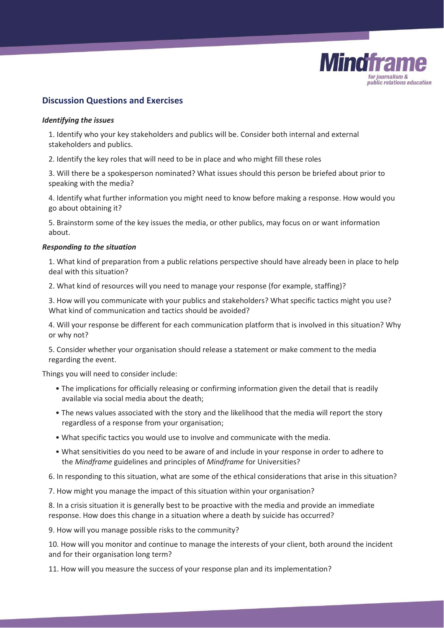

# **Discussion Questions and Exercises**

#### *Identifying the issues*

1. Identify who your key stakeholders and publics will be. Consider both internal and external stakeholders and publics.

2. Identify the key roles that will need to be in place and who might fill these roles

3. Will there be a spokesperson nominated? What issues should this person be briefed about prior to speaking with the media?

4. Identify what further information you might need to know before making a response. How would you go about obtaining it?

5. Brainstorm some of the key issues the media, or other publics, may focus on or want information about.

#### *Responding to the situation*

1. What kind of preparation from a public relations perspective should have already been in place to help deal with this situation?

2. What kind of resources will you need to manage your response (for example, staffing)?

3. How will you communicate with your publics and stakeholders? What specific tactics might you use? What kind of communication and tactics should be avoided?

4. Will your response be different for each communication platform that is involved in this situation? Why or why not?

5. Consider whether your organisation should release a statement or make comment to the media regarding the event.

Things you will need to consider include:

- The implications for officially releasing or confirming information given the detail that is readily available via social media about the death;
- The news values associated with the story and the likelihood that the media will report the story regardless of a response from your organisation;
- What specific tactics you would use to involve and communicate with the media.
- What sensitivities do you need to be aware of and include in your response in order to adhere to the *Mindframe* guidelines and principles of *Mindframe* for Universities?
- 6. In responding to this situation, what are some of the ethical considerations that arise in this situation?

7. How might you manage the impact of this situation within your organisation?

8. In a crisis situation it is generally best to be proactive with the media and provide an immediate response. How does this change in a situation where a death by suicide has occurred?

9. How will you manage possible risks to the community?

10. How will you monitor and continue to manage the interests of your client, both around the incident and for their organisation long term?

11. How will you measure the success of your response plan and its implementation?